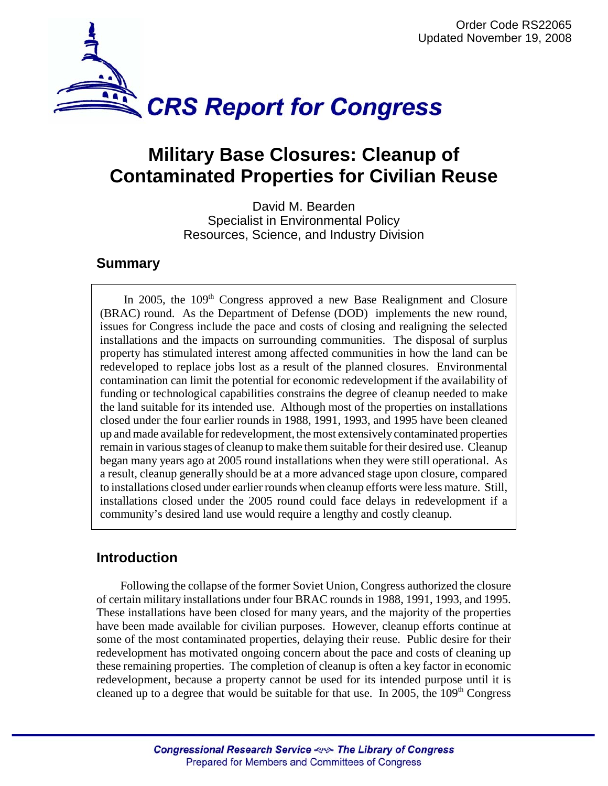

# **Military Base Closures: Cleanup of Contaminated Properties for Civilian Reuse**

David M. Bearden Specialist in Environmental Policy Resources, Science, and Industry Division

### **Summary**

In 2005, the  $109<sup>th</sup>$  Congress approved a new Base Realignment and Closure (BRAC) round. As the Department of Defense (DOD) implements the new round, issues for Congress include the pace and costs of closing and realigning the selected installations and the impacts on surrounding communities. The disposal of surplus property has stimulated interest among affected communities in how the land can be redeveloped to replace jobs lost as a result of the planned closures. Environmental contamination can limit the potential for economic redevelopment if the availability of funding or technological capabilities constrains the degree of cleanup needed to make the land suitable for its intended use. Although most of the properties on installations closed under the four earlier rounds in 1988, 1991, 1993, and 1995 have been cleaned up and made available for redevelopment, the most extensively contaminated properties remain in various stages of cleanup to make them suitable for their desired use. Cleanup began many years ago at 2005 round installations when they were still operational. As a result, cleanup generally should be at a more advanced stage upon closure, compared to installations closed under earlier rounds when cleanup efforts were less mature. Still, installations closed under the 2005 round could face delays in redevelopment if a community's desired land use would require a lengthy and costly cleanup.

## **Introduction**

Following the collapse of the former Soviet Union, Congress authorized the closure of certain military installations under four BRAC rounds in 1988, 1991, 1993, and 1995. These installations have been closed for many years, and the majority of the properties have been made available for civilian purposes. However, cleanup efforts continue at some of the most contaminated properties, delaying their reuse. Public desire for their redevelopment has motivated ongoing concern about the pace and costs of cleaning up these remaining properties. The completion of cleanup is often a key factor in economic redevelopment, because a property cannot be used for its intended purpose until it is cleaned up to a degree that would be suitable for that use. In 2005, the  $109<sup>th</sup>$  Congress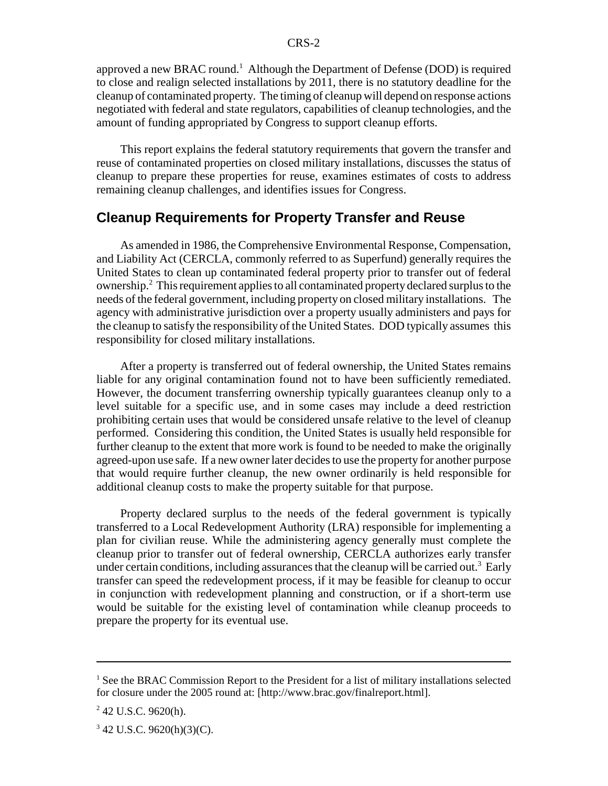approved a new BRAC round.<sup>1</sup> Although the Department of Defense (DOD) is required to close and realign selected installations by 2011, there is no statutory deadline for the cleanup of contaminated property. The timing of cleanup will depend on response actions negotiated with federal and state regulators, capabilities of cleanup technologies, and the amount of funding appropriated by Congress to support cleanup efforts.

This report explains the federal statutory requirements that govern the transfer and reuse of contaminated properties on closed military installations, discusses the status of cleanup to prepare these properties for reuse, examines estimates of costs to address remaining cleanup challenges, and identifies issues for Congress.

#### **Cleanup Requirements for Property Transfer and Reuse**

As amended in 1986, the Comprehensive Environmental Response, Compensation, and Liability Act (CERCLA, commonly referred to as Superfund) generally requires the United States to clean up contaminated federal property prior to transfer out of federal ownership.<sup>2</sup> This requirement applies to all contaminated property declared surplus to the needs of the federal government, including property on closed military installations. The agency with administrative jurisdiction over a property usually administers and pays for the cleanup to satisfy the responsibility of the United States. DOD typically assumes this responsibility for closed military installations.

After a property is transferred out of federal ownership, the United States remains liable for any original contamination found not to have been sufficiently remediated. However, the document transferring ownership typically guarantees cleanup only to a level suitable for a specific use, and in some cases may include a deed restriction prohibiting certain uses that would be considered unsafe relative to the level of cleanup performed. Considering this condition, the United States is usually held responsible for further cleanup to the extent that more work is found to be needed to make the originally agreed-upon use safe. If a new owner later decides to use the property for another purpose that would require further cleanup, the new owner ordinarily is held responsible for additional cleanup costs to make the property suitable for that purpose.

Property declared surplus to the needs of the federal government is typically transferred to a Local Redevelopment Authority (LRA) responsible for implementing a plan for civilian reuse. While the administering agency generally must complete the cleanup prior to transfer out of federal ownership, CERCLA authorizes early transfer under certain conditions, including assurances that the cleanup will be carried out.<sup>3</sup> Early transfer can speed the redevelopment process, if it may be feasible for cleanup to occur in conjunction with redevelopment planning and construction, or if a short-term use would be suitable for the existing level of contamination while cleanup proceeds to prepare the property for its eventual use.

<sup>&</sup>lt;sup>1</sup> See the BRAC Commission Report to the President for a list of military installations selected for closure under the 2005 round at: [http://www.brac.gov/finalreport.html].

 $2$  42 U.S.C. 9620(h).

 $3$  42 U.S.C. 9620(h)(3)(C).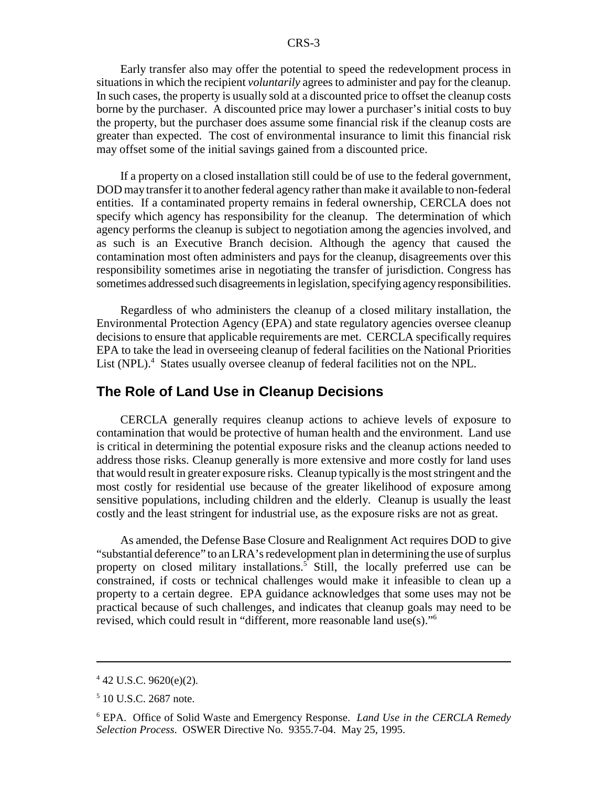Early transfer also may offer the potential to speed the redevelopment process in situations in which the recipient *voluntarily* agrees to administer and pay for the cleanup. In such cases, the property is usually sold at a discounted price to offset the cleanup costs borne by the purchaser. A discounted price may lower a purchaser's initial costs to buy the property, but the purchaser does assume some financial risk if the cleanup costs are greater than expected. The cost of environmental insurance to limit this financial risk may offset some of the initial savings gained from a discounted price.

If a property on a closed installation still could be of use to the federal government, DOD may transfer it to another federal agency rather than make it available to non-federal entities. If a contaminated property remains in federal ownership, CERCLA does not specify which agency has responsibility for the cleanup. The determination of which agency performs the cleanup is subject to negotiation among the agencies involved, and as such is an Executive Branch decision. Although the agency that caused the contamination most often administers and pays for the cleanup, disagreements over this responsibility sometimes arise in negotiating the transfer of jurisdiction. Congress has sometimes addressed such disagreements in legislation, specifying agency responsibilities.

Regardless of who administers the cleanup of a closed military installation, the Environmental Protection Agency (EPA) and state regulatory agencies oversee cleanup decisions to ensure that applicable requirements are met. CERCLA specifically requires EPA to take the lead in overseeing cleanup of federal facilities on the National Priorities List (NPL).<sup>4</sup> States usually oversee cleanup of federal facilities not on the NPL.

#### **The Role of Land Use in Cleanup Decisions**

CERCLA generally requires cleanup actions to achieve levels of exposure to contamination that would be protective of human health and the environment. Land use is critical in determining the potential exposure risks and the cleanup actions needed to address those risks. Cleanup generally is more extensive and more costly for land uses that would result in greater exposure risks. Cleanup typically is the most stringent and the most costly for residential use because of the greater likelihood of exposure among sensitive populations, including children and the elderly. Cleanup is usually the least costly and the least stringent for industrial use, as the exposure risks are not as great.

As amended, the Defense Base Closure and Realignment Act requires DOD to give "substantial deference" to an LRA's redevelopment plan in determining the use of surplus property on closed military installations.<sup>5</sup> Still, the locally preferred use can be constrained, if costs or technical challenges would make it infeasible to clean up a property to a certain degree. EPA guidance acknowledges that some uses may not be practical because of such challenges, and indicates that cleanup goals may need to be revised, which could result in "different, more reasonable land use(s)."6

 $4$  42 U.S.C. 9620(e)(2).

<sup>5</sup> 10 U.S.C. 2687 note.

<sup>6</sup> EPA. Office of Solid Waste and Emergency Response. *Land Use in the CERCLA Remedy Selection Process*. OSWER Directive No. 9355.7-04. May 25, 1995.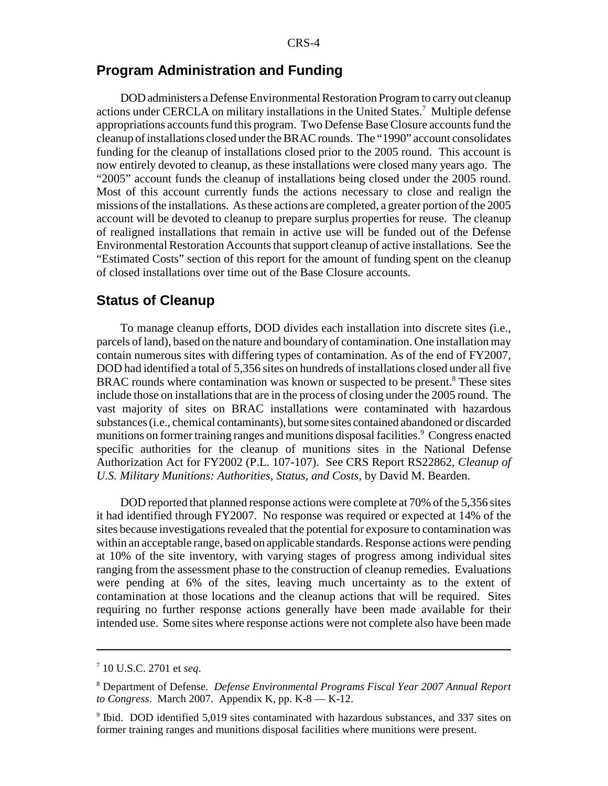#### **Program Administration and Funding**

DOD administers a Defense Environmental Restoration Program to carry out cleanup actions under CERCLA on military installations in the United States.<sup>7</sup> Multiple defense appropriations accounts fund this program. Two Defense Base Closure accounts fund the cleanup of installations closed under the BRAC rounds. The "1990" account consolidates funding for the cleanup of installations closed prior to the 2005 round. This account is now entirely devoted to cleanup, as these installations were closed many years ago. The "2005" account funds the cleanup of installations being closed under the 2005 round. Most of this account currently funds the actions necessary to close and realign the missions of the installations. As these actions are completed, a greater portion of the 2005 account will be devoted to cleanup to prepare surplus properties for reuse. The cleanup of realigned installations that remain in active use will be funded out of the Defense Environmental Restoration Accounts that support cleanup of active installations. See the "Estimated Costs" section of this report for the amount of funding spent on the cleanup of closed installations over time out of the Base Closure accounts.

#### **Status of Cleanup**

To manage cleanup efforts, DOD divides each installation into discrete sites (i.e., parcels of land), based on the nature and boundary of contamination. One installation may contain numerous sites with differing types of contamination. As of the end of FY2007, DOD had identified a total of 5,356 sites on hundreds of installations closed under all five BRAC rounds where contamination was known or suspected to be present.<sup>8</sup> These sites include those on installations that are in the process of closing under the 2005 round. The vast majority of sites on BRAC installations were contaminated with hazardous substances (i.e., chemical contaminants), but some sites contained abandoned or discarded munitions on former training ranges and munitions disposal facilities.<sup>9</sup> Congress enacted specific authorities for the cleanup of munitions sites in the National Defense Authorization Act for FY2002 (P.L. 107-107). See CRS Report RS22862, *Cleanup of U.S. Military Munitions: Authorities, Status, and Costs*, by David M. Bearden.

DOD reported that planned response actions were complete at 70% of the 5,356 sites it had identified through FY2007. No response was required or expected at 14% of the sites because investigations revealed that the potential for exposure to contamination was within an acceptable range, based on applicable standards. Response actions were pending at 10% of the site inventory, with varying stages of progress among individual sites ranging from the assessment phase to the construction of cleanup remedies. Evaluations were pending at 6% of the sites, leaving much uncertainty as to the extent of contamination at those locations and the cleanup actions that will be required. Sites requiring no further response actions generally have been made available for their intended use. Some sites where response actions were not complete also have been made

<sup>7</sup> 10 U.S.C. 2701 et *seq*.

<sup>8</sup> Department of Defense. *Defense Environmental Programs Fiscal Year 2007 Annual Report to Congress*. March 2007. Appendix K, pp. K-8 — K-12.

<sup>&</sup>lt;sup>9</sup> Ibid. DOD identified 5,019 sites contaminated with hazardous substances, and 337 sites on former training ranges and munitions disposal facilities where munitions were present.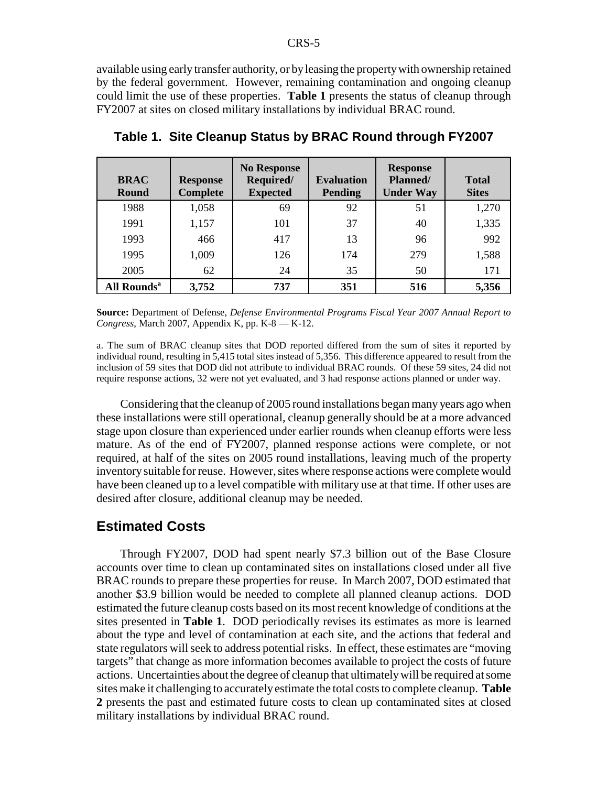available using early transfer authority, or by leasing the property with ownership retained by the federal government. However, remaining contamination and ongoing cleanup could limit the use of these properties. **Table 1** presents the status of cleanup through FY2007 at sites on closed military installations by individual BRAC round.

| <b>BRAC</b><br><b>Round</b> | <b>Response</b><br><b>Complete</b> | <b>No Response</b><br>Required/<br><b>Expected</b> | <b>Evaluation</b><br><b>Pending</b> | <b>Response</b><br>Planned/<br><b>Under Way</b> | <b>Total</b><br><b>Sites</b> |
|-----------------------------|------------------------------------|----------------------------------------------------|-------------------------------------|-------------------------------------------------|------------------------------|
| 1988                        | 1,058                              | 69                                                 | 92                                  | 51                                              | 1,270                        |
| 1991                        | 1,157                              | 101                                                | 37                                  | 40                                              | 1,335                        |
| 1993                        | 466                                | 417                                                | 13                                  | 96                                              | 992                          |
| 1995                        | 1,009                              | 126                                                | 174                                 | 279                                             | 1,588                        |
| 2005                        | 62                                 | 24                                                 | 35                                  | 50                                              | 171                          |
| All Rounds <sup>a</sup>     | 3,752                              | 737                                                | 351                                 | 516                                             | 5,356                        |

**Table 1. Site Cleanup Status by BRAC Round through FY2007**

**Source:** Department of Defense, *Defense Environmental Programs Fiscal Year 2007 Annual Report to Congress*, March 2007, Appendix K, pp. K-8 — K-12.

a. The sum of BRAC cleanup sites that DOD reported differed from the sum of sites it reported by individual round, resulting in 5,415 total sites instead of 5,356. This difference appeared to result from the inclusion of 59 sites that DOD did not attribute to individual BRAC rounds. Of these 59 sites, 24 did not require response actions, 32 were not yet evaluated, and 3 had response actions planned or under way.

Considering that the cleanup of 2005 round installations began many years ago when these installations were still operational, cleanup generally should be at a more advanced stage upon closure than experienced under earlier rounds when cleanup efforts were less mature. As of the end of FY2007, planned response actions were complete, or not required, at half of the sites on 2005 round installations, leaving much of the property inventory suitable for reuse. However, sites where response actions were complete would have been cleaned up to a level compatible with military use at that time. If other uses are desired after closure, additional cleanup may be needed.

#### **Estimated Costs**

Through FY2007, DOD had spent nearly \$7.3 billion out of the Base Closure accounts over time to clean up contaminated sites on installations closed under all five BRAC rounds to prepare these properties for reuse. In March 2007, DOD estimated that another \$3.9 billion would be needed to complete all planned cleanup actions. DOD estimated the future cleanup costs based on its most recent knowledge of conditions at the sites presented in **Table 1**. DOD periodically revises its estimates as more is learned about the type and level of contamination at each site, and the actions that federal and state regulators will seek to address potential risks. In effect, these estimates are "moving targets" that change as more information becomes available to project the costs of future actions. Uncertainties about the degree of cleanup that ultimately will be required at some sites make it challenging to accurately estimate the total costs to complete cleanup. **Table 2** presents the past and estimated future costs to clean up contaminated sites at closed military installations by individual BRAC round.